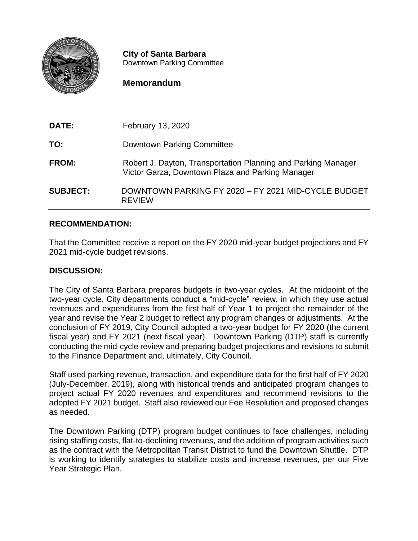

**City of Santa Barbara** Downtown Parking Committee

### **Memorandum**

| DATE:           | February 13, 2020                                                                                                 |
|-----------------|-------------------------------------------------------------------------------------------------------------------|
| TO:             | Downtown Parking Committee                                                                                        |
| <b>FROM:</b>    | Robert J. Dayton, Transportation Planning and Parking Manager<br>Victor Garza, Downtown Plaza and Parking Manager |
| <b>SUBJECT:</b> | DOWNTOWN PARKING FY 2020 - FY 2021 MID-CYCLE BUDGET<br><b>REVIEW</b>                                              |

#### **RECOMMENDATION:**

That the Committee receive a report on the FY 2020 mid-year budget projections and FY 2021 mid-cycle budget revisions.

#### **DISCUSSION:**

The City of Santa Barbara prepares budgets in two-year cycles. At the midpoint of the two-year cycle, City departments conduct a "mid-cycle" review, in which they use actual revenues and expenditures from the first half of Year 1 to project the remainder of the year and revise the Year 2 budget to reflect any program changes or adjustments. At the conclusion of FY 2019, City Council adopted a two-year budget for FY 2020 (the current fiscal year) and FY 2021 (next fiscal year). Downtown Parking (DTP) staff is currently conducting the mid-cycle review and preparing budget projections and revisions to submit to the Finance Department and, ultimately, City Council.

Staff used parking revenue, transaction, and expenditure data for the first half of FY 2020 (July-December, 2019), along with historical trends and anticipated program changes to project actual FY 2020 revenues and expenditures and recommend revisions to the adopted FY 2021 budget. Staff also reviewed our Fee Resolution and proposed changes as needed.

The Downtown Parking (DTP) program budget continues to face challenges, including rising staffing costs, flat-to-declining revenues, and the addition of program activities such as the contract with the Metropolitan Transit District to fund the Downtown Shuttle. DTP is working to identify strategies to stabilize costs and increase revenues, per our Five Year Strategic Plan.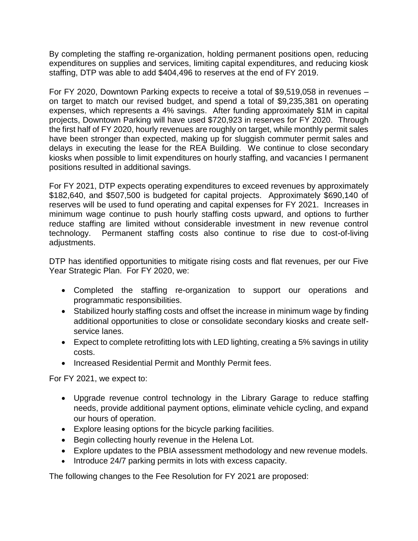By completing the staffing re-organization, holding permanent positions open, reducing expenditures on supplies and services, limiting capital expenditures, and reducing kiosk staffing, DTP was able to add \$404,496 to reserves at the end of FY 2019.

For FY 2020, Downtown Parking expects to receive a total of \$9,519,058 in revenues – on target to match our revised budget, and spend a total of \$9,235,381 on operating expenses, which represents a 4% savings. After funding approximately \$1M in capital projects, Downtown Parking will have used \$720,923 in reserves for FY 2020. Through the first half of FY 2020, hourly revenues are roughly on target, while monthly permit sales have been stronger than expected, making up for sluggish commuter permit sales and delays in executing the lease for the REA Building. We continue to close secondary kiosks when possible to limit expenditures on hourly staffing, and vacancies I permanent positions resulted in additional savings.

For FY 2021, DTP expects operating expenditures to exceed revenues by approximately \$182,640, and \$507,500 is budgeted for capital projects. Approximately \$690,140 of reserves will be used to fund operating and capital expenses for FY 2021. Increases in minimum wage continue to push hourly staffing costs upward, and options to further reduce staffing are limited without considerable investment in new revenue control technology. Permanent staffing costs also continue to rise due to cost-of-living adjustments.

DTP has identified opportunities to mitigate rising costs and flat revenues, per our Five Year Strategic Plan. For FY 2020, we:

- Completed the staffing re-organization to support our operations and programmatic responsibilities.
- Stabilized hourly staffing costs and offset the increase in minimum wage by finding additional opportunities to close or consolidate secondary kiosks and create selfservice lanes.
- Expect to complete retrofitting lots with LED lighting, creating a 5% savings in utility costs.
- Increased Residential Permit and Monthly Permit fees.

For FY 2021, we expect to:

- Upgrade revenue control technology in the Library Garage to reduce staffing needs, provide additional payment options, eliminate vehicle cycling, and expand our hours of operation.
- Explore leasing options for the bicycle parking facilities.
- Begin collecting hourly revenue in the Helena Lot.
- Explore updates to the PBIA assessment methodology and new revenue models.
- Introduce 24/7 parking permits in lots with excess capacity.

The following changes to the Fee Resolution for FY 2021 are proposed: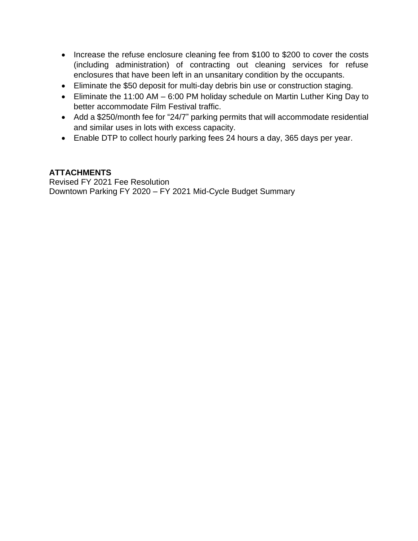- Increase the refuse enclosure cleaning fee from \$100 to \$200 to cover the costs (including administration) of contracting out cleaning services for refuse enclosures that have been left in an unsanitary condition by the occupants.
- Eliminate the \$50 deposit for multi-day debris bin use or construction staging.
- Eliminate the 11:00 AM 6:00 PM holiday schedule on Martin Luther King Day to better accommodate Film Festival traffic.
- Add a \$250/month fee for "24/7" parking permits that will accommodate residential and similar uses in lots with excess capacity.
- Enable DTP to collect hourly parking fees 24 hours a day, 365 days per year.

#### **ATTACHMENTS**

Revised FY 2021 Fee Resolution Downtown Parking FY 2020 – FY 2021 Mid-Cycle Budget Summary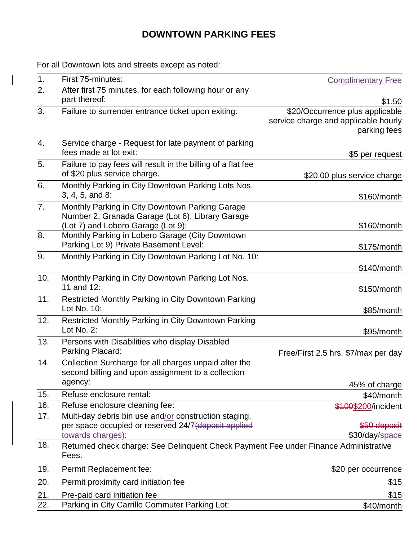# **DOWNTOWN PARKING FEES**

For all Downtown lots and streets except as noted:

 $\overline{\phantom{a}}$ 

| 1.             | First 75-minutes:                                                                                                                         | <b>Complimentary Free</b>                                                               |
|----------------|-------------------------------------------------------------------------------------------------------------------------------------------|-----------------------------------------------------------------------------------------|
| 2.             | After first 75 minutes, for each following hour or any<br>part thereof:                                                                   | \$1.50                                                                                  |
| 3.             | Failure to surrender entrance ticket upon exiting:                                                                                        | \$20/Occurrence plus applicable<br>service charge and applicable hourly<br>parking fees |
| 4.             | Service charge - Request for late payment of parking<br>fees made at lot exit:                                                            | \$5 per request                                                                         |
| 5.             | Failure to pay fees will result in the billing of a flat fee<br>of \$20 plus service charge.                                              | \$20.00 plus service charge                                                             |
| 6.             | Monthly Parking in City Downtown Parking Lots Nos.<br>3, 4, 5, and 8:                                                                     | \$160/month                                                                             |
| 7 <sub>1</sub> | Monthly Parking in City Downtown Parking Garage<br>Number 2, Granada Garage (Lot 6), Library Garage<br>(Lot 7) and Lobero Garage (Lot 9): | \$160/month                                                                             |
| 8.             | Monthly Parking in Lobero Garage (City Downtown<br>Parking Lot 9) Private Basement Level:                                                 | \$175/month                                                                             |
| 9.             | Monthly Parking in City Downtown Parking Lot No. 10:                                                                                      | \$140/month                                                                             |
| 10.            | Monthly Parking in City Downtown Parking Lot Nos.<br>11 and 12:                                                                           | $$150/m$ onth                                                                           |
| 11.            | <b>Restricted Monthly Parking in City Downtown Parking</b><br>Lot No. 10:                                                                 | \$85/month                                                                              |
| 12.            | Restricted Monthly Parking in City Downtown Parking<br>Lot No. 2:                                                                         | \$95/month                                                                              |
| 13.            | Persons with Disabilities who display Disabled<br>Parking Placard:                                                                        | Free/First 2.5 hrs. \$7/max per day                                                     |
| 14.            | Collection Surcharge for all charges unpaid after the<br>second billing and upon assignment to a collection<br>agency:                    |                                                                                         |
| 15.            | Refuse enclosure rental:                                                                                                                  | 45% of charge                                                                           |
| 16.            | Refuse enclosure cleaning fee:                                                                                                            | \$40/month<br>\$100\$200/incident                                                       |
| 17.            | Multi-day debris bin use and/or construction staging,<br>per space occupied or reserved 24/7 (deposit applied<br>towards charges):        | \$50 deposit<br>\$30/day/space                                                          |
| 18.            | Returned check charge: See Delinquent Check Payment Fee under Finance Administrative<br>Fees.                                             |                                                                                         |
| 19.            | Permit Replacement fee:                                                                                                                   | \$20 per occurrence                                                                     |
| 20.            | Permit proximity card initiation fee                                                                                                      | \$15                                                                                    |
| 21.            | Pre-paid card initiation fee                                                                                                              | \$15                                                                                    |
| 22.            | Parking in City Carrillo Commuter Parking Lot:                                                                                            | \$40/month                                                                              |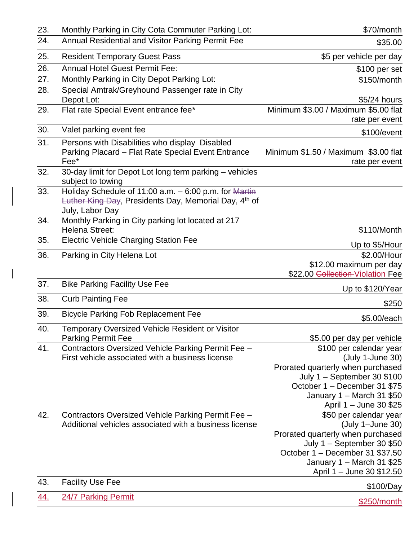| 23. | Monthly Parking in City Cota Commuter Parking Lot:                                                                                  | \$70/month                                                                                                                                                                                                                             |  |  |  |
|-----|-------------------------------------------------------------------------------------------------------------------------------------|----------------------------------------------------------------------------------------------------------------------------------------------------------------------------------------------------------------------------------------|--|--|--|
| 24. | Annual Residential and Visitor Parking Permit Fee                                                                                   | \$35.00                                                                                                                                                                                                                                |  |  |  |
| 25. | <b>Resident Temporary Guest Pass</b>                                                                                                | \$5 per vehicle per day                                                                                                                                                                                                                |  |  |  |
| 26. | <b>Annual Hotel Guest Permit Fee:</b>                                                                                               | \$100 per set                                                                                                                                                                                                                          |  |  |  |
| 27. | Monthly Parking in City Depot Parking Lot:                                                                                          | \$150/month                                                                                                                                                                                                                            |  |  |  |
| 28. | Special Amtrak/Greyhound Passenger rate in City<br>Depot Lot:                                                                       | \$5/24 hours                                                                                                                                                                                                                           |  |  |  |
| 29. | Flat rate Special Event entrance fee*                                                                                               | Minimum \$3.00 / Maximum \$5.00 flat<br>rate per event                                                                                                                                                                                 |  |  |  |
| 30. | Valet parking event fee                                                                                                             | \$100/event                                                                                                                                                                                                                            |  |  |  |
| 31. | Persons with Disabilities who display Disabled<br>Parking Placard - Flat Rate Special Event Entrance<br>Fee*                        | Minimum \$1.50 / Maximum \$3.00 flat<br>rate per event                                                                                                                                                                                 |  |  |  |
| 32. | 30-day limit for Depot Lot long term parking - vehicles<br>subject to towing                                                        |                                                                                                                                                                                                                                        |  |  |  |
| 33. | Holiday Schedule of 11:00 a.m. - 6:00 p.m. for Martin<br>Luther King Day, Presidents Day, Memorial Day, 4th of<br>July, Labor Day   |                                                                                                                                                                                                                                        |  |  |  |
| 34. | Monthly Parking in City parking lot located at 217<br>Helena Street:                                                                | \$110/Month                                                                                                                                                                                                                            |  |  |  |
| 35. | <b>Electric Vehicle Charging Station Fee</b>                                                                                        | Up to \$5/Hour                                                                                                                                                                                                                         |  |  |  |
| 36. | Parking in City Helena Lot                                                                                                          | \$2.00/Hour<br>\$12.00 maximum per day                                                                                                                                                                                                 |  |  |  |
|     |                                                                                                                                     | \$22.00 Collection-Violation Fee                                                                                                                                                                                                       |  |  |  |
| 37. | <b>Bike Parking Facility Use Fee</b>                                                                                                | Up to \$120/Year                                                                                                                                                                                                                       |  |  |  |
| 38. | <b>Curb Painting Fee</b>                                                                                                            | \$250                                                                                                                                                                                                                                  |  |  |  |
| 39. | <b>Bicycle Parking Fob Replacement Fee</b>                                                                                          | \$5.00/each                                                                                                                                                                                                                            |  |  |  |
| 40. | Temporary Oversized Vehicle Resident or Visitor                                                                                     |                                                                                                                                                                                                                                        |  |  |  |
| 41. | <b>Parking Permit Fee</b><br>Contractors Oversized Vehicle Parking Permit Fee -<br>First vehicle associated with a business license | \$5.00 per day per vehicle<br>\$100 per calendar year<br>(July 1-June 30)<br>Prorated quarterly when purchased<br>July $1 -$ September 30 \$100<br>October 1 - December 31 \$75<br>January 1 - March 31 \$50<br>April 1 - June 30 \$25 |  |  |  |
| 42. | Contractors Oversized Vehicle Parking Permit Fee -<br>Additional vehicles associated with a business license                        | \$50 per calendar year<br>(July 1-June 30)<br>Prorated quarterly when purchased<br>July $1 -$ September 30 \$50<br>October 1 - December 31 \$37.50<br>January 1 - March 31 \$25<br>April 1 – June 30 \$12.50                           |  |  |  |
| 43. | <b>Facility Use Fee</b>                                                                                                             | \$100/Day                                                                                                                                                                                                                              |  |  |  |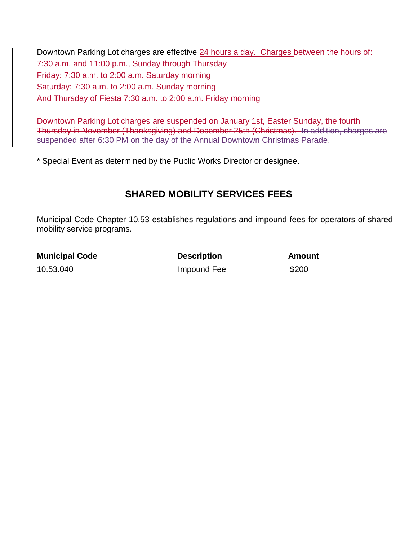Downtown Parking Lot charges are effective 24 hours a day. Charges between the hours of: 7:30 a.m. and 11:00 p.m., Sunday through Thursday Friday: 7:30 a.m. to 2:00 a.m. Saturday morning Saturday: 7:30 a.m. to 2:00 a.m. Sunday morning And Thursday of Fiesta 7:30 a.m. to 2:00 a.m. Friday morning

Downtown Parking Lot charges are suspended on January 1st, Easter Sunday, the fourth Thursday in November (Thanksgiving) and December 25th (Christmas). In addition, charges are suspended after 6:30 PM on the day of the Annual Downtown Christmas Parade.

\* Special Event as determined by the Public Works Director or designee.

### **SHARED MOBILITY SERVICES FEES**

Municipal Code Chapter 10.53 establishes regulations and impound fees for operators of shared mobility service programs.

**Municipal Code**  Description **Amount** 

10.53.040 **Impound Fee** \$200